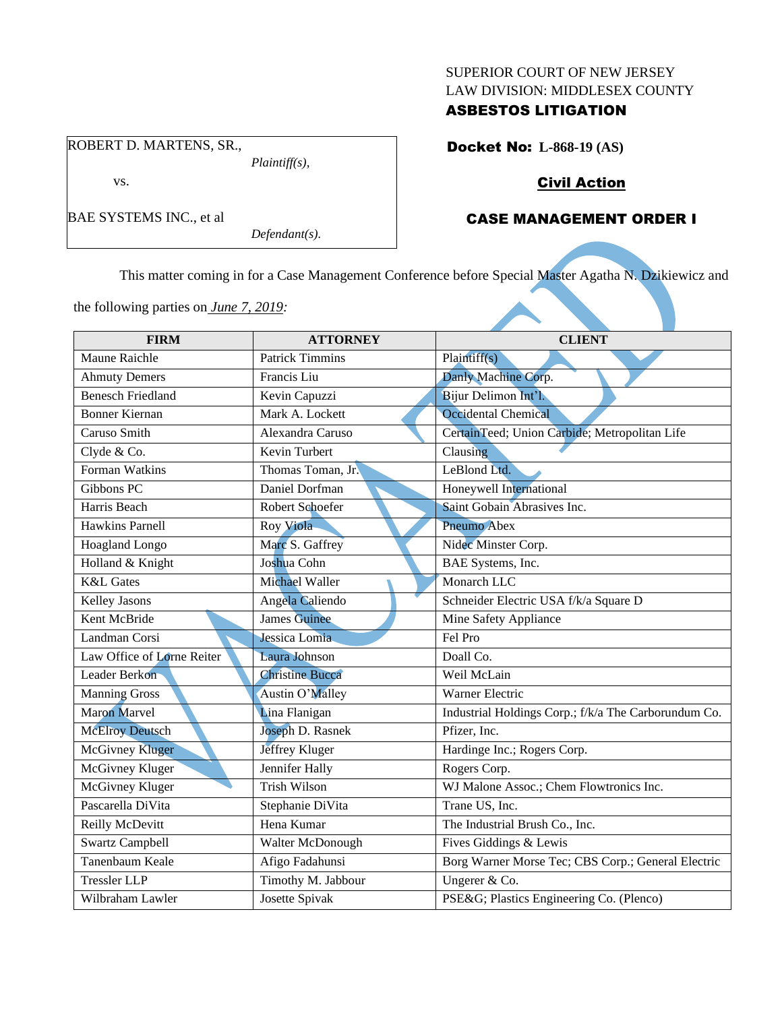#### SUPERIOR COURT OF NEW JERSEY LAW DIVISION: MIDDLESEX COUNTY

### ASBESTOS LITIGATION

ROBERT D. MARTENS, SR.,

*Plaintiff(s),*

vs.

BAE SYSTEMS INC., et al

*Defendant(s).*

Docket No: **L-868-19 (AS)**

## Civil Action

## CASE MANAGEMENT ORDER I

This matter coming in for a Case Management Conference before Special Master Agatha N. Dzikiewicz and

the following parties on *June 7, 2019:*

| <b>FIRM</b>                | <b>ATTORNEY</b>        | <b>CLIENT</b>                                        |
|----------------------------|------------------------|------------------------------------------------------|
| Maune Raichle              | <b>Patrick Timmins</b> | Plaintiff(s)                                         |
| <b>Ahmuty Demers</b>       | Francis Liu            | Danly Machine Corp.                                  |
| <b>Benesch Friedland</b>   | Kevin Capuzzi          | Bijur Delimon Int'l.                                 |
| <b>Bonner Kiernan</b>      | Mark A. Lockett        | Occidental Chemical                                  |
| Caruso Smith               | Alexandra Caruso       | CertainTeed; Union Carbide; Metropolitan Life        |
| Clyde & Co.                | Kevin Turbert          | Clausing                                             |
| Forman Watkins             | Thomas Toman, Jr.      | LeBlond Ltd.                                         |
| Gibbons PC                 | Daniel Dorfman         | Honeywell International                              |
| Harris Beach               | Robert Schoefer        | Saint Gobain Abrasives Inc.                          |
| <b>Hawkins Parnell</b>     | Roy Viola              | Pneumo Abex                                          |
| Hoagland Longo             | Marc S. Gaffrey        | Nidec Minster Corp.                                  |
| Holland & Knight           | Joshua Cohn            | BAE Systems, Inc.                                    |
| <b>K&amp;L</b> Gates       | Michael Waller         | Monarch LLC                                          |
| Kelley Jasons              | Angela Caliendo        | Schneider Electric USA f/k/a Square D                |
| Kent McBride               | <b>James</b> Guinee    | Mine Safety Appliance                                |
| Landman Corsi              | Jessica Lomia          | Fel Pro                                              |
| Law Office of Lorne Reiter | Laura Johnson          | Doall Co.                                            |
| Leader Berkon              | <b>Christine Bucca</b> | Weil McLain                                          |
| <b>Manning Gross</b>       | Austin O'Malley        | Warner Electric                                      |
| <b>Maron Marvel</b>        | Lina Flanigan          | Industrial Holdings Corp.; f/k/a The Carborundum Co. |
| <b>McElroy Deutsch</b>     | Joseph D. Rasnek       | Pfizer, Inc.                                         |
| McGivney Kluger            | Jeffrey Kluger         | Hardinge Inc.; Rogers Corp.                          |
| McGivney Kluger            | Jennifer Hally         | Rogers Corp.                                         |
| McGivney Kluger            | <b>Trish Wilson</b>    | WJ Malone Assoc.; Chem Flowtronics Inc.              |
| Pascarella DiVita          | Stephanie DiVita       | Trane US, Inc.                                       |
| Reilly McDevitt            | Hena Kumar             | The Industrial Brush Co., Inc.                       |
| <b>Swartz Campbell</b>     | Walter McDonough       | Fives Giddings & Lewis                               |
| Tanenbaum Keale            | Afigo Fadahunsi        | Borg Warner Morse Tec; CBS Corp.; General Electric   |
| <b>Tressler LLP</b>        | Timothy M. Jabbour     | Ungerer & Co.                                        |
| Wilbraham Lawler           | Josette Spivak         | PSE&G Plastics Engineering Co. (Plenco)              |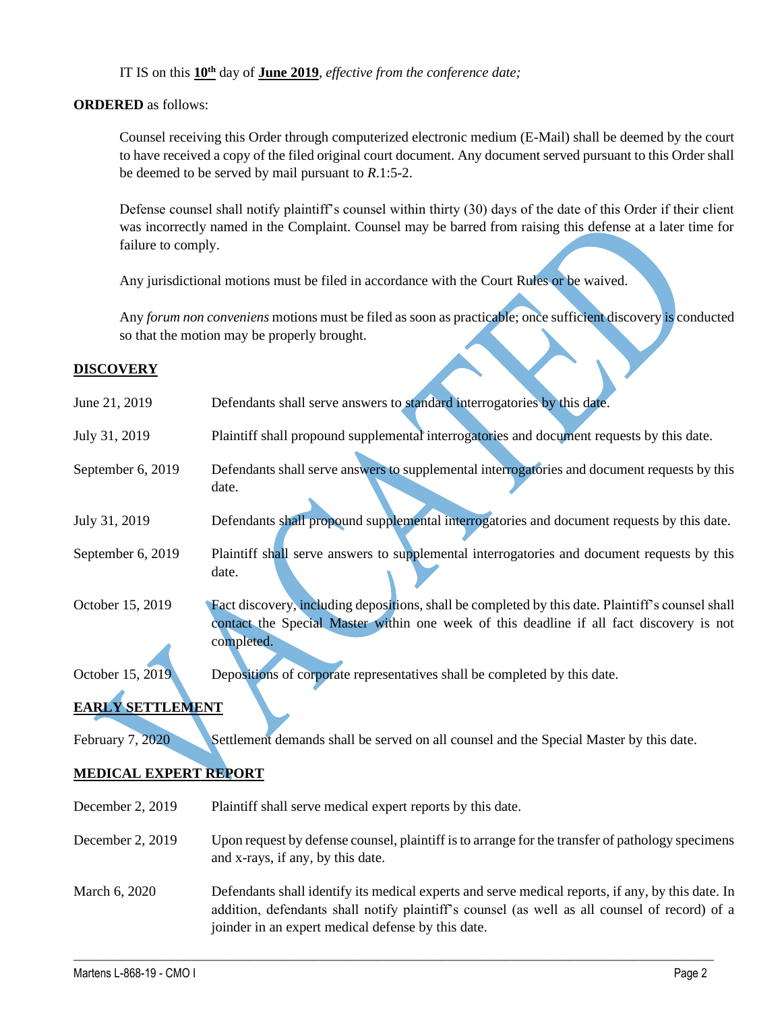IT IS on this **10th** day of **June 2019**, *effective from the conference date;*

### **ORDERED** as follows:

Counsel receiving this Order through computerized electronic medium (E-Mail) shall be deemed by the court to have received a copy of the filed original court document. Any document served pursuant to this Order shall be deemed to be served by mail pursuant to *R*.1:5-2.

Defense counsel shall notify plaintiff's counsel within thirty (30) days of the date of this Order if their client was incorrectly named in the Complaint. Counsel may be barred from raising this defense at a later time for failure to comply.

Any jurisdictional motions must be filed in accordance with the Court Rules or be waived.

Any *forum non conveniens* motions must be filed as soon as practicable; once sufficient discovery is conducted so that the motion may be properly brought.

### **DISCOVERY**

| June 21, 2019                | Defendants shall serve answers to standard interrogatories by this date.                                                                                                                                                                                 |  |
|------------------------------|----------------------------------------------------------------------------------------------------------------------------------------------------------------------------------------------------------------------------------------------------------|--|
| July 31, 2019                | Plaintiff shall propound supplemental interrogatories and document requests by this date.                                                                                                                                                                |  |
| September 6, 2019            | Defendants shall serve answers to supplemental interrogatories and document requests by this<br>date.                                                                                                                                                    |  |
| July 31, 2019                | Defendants shall propound supplemental interrogatories and document requests by this date.                                                                                                                                                               |  |
| September 6, 2019            | Plaintiff shall serve answers to supplemental interrogatories and document requests by this<br>date.                                                                                                                                                     |  |
| October 15, 2019             | Fact discovery, including depositions, shall be completed by this date. Plaintiff's counsel shall<br>contact the Special Master within one week of this deadline if all fact discovery is not<br>completed.                                              |  |
| October 15, 2019             | Depositions of corporate representatives shall be completed by this date.                                                                                                                                                                                |  |
| <b>EARLY SETTLEMENT</b>      |                                                                                                                                                                                                                                                          |  |
| February 7, 2020             | Settlement demands shall be served on all counsel and the Special Master by this date.                                                                                                                                                                   |  |
| <b>MEDICAL EXPERT REPORT</b> |                                                                                                                                                                                                                                                          |  |
| December 2, 2019             | Plaintiff shall serve medical expert reports by this date.                                                                                                                                                                                               |  |
| December 2, 2019             | Upon request by defense counsel, plaintiff is to arrange for the transfer of pathology specimens<br>and x-rays, if any, by this date.                                                                                                                    |  |
| March 6, 2020                | Defendants shall identify its medical experts and serve medical reports, if any, by this date. In<br>addition, defendants shall notify plaintiff's counsel (as well as all counsel of record) of a<br>joinder in an expert medical defense by this date. |  |

 $\_$  , and the set of the set of the set of the set of the set of the set of the set of the set of the set of the set of the set of the set of the set of the set of the set of the set of the set of the set of the set of th